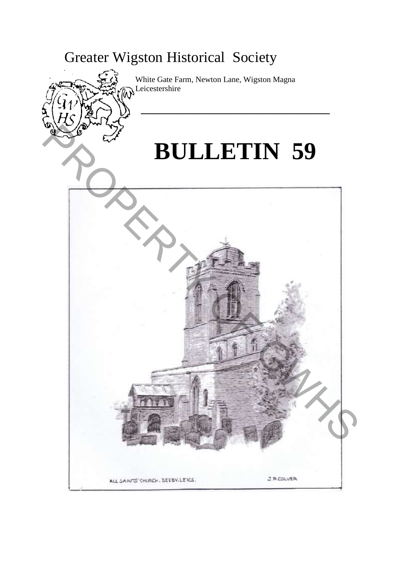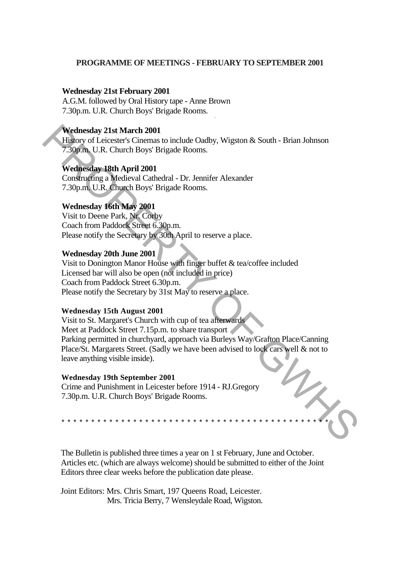## **PROGRAMME OF MEETINGS - FEBRUARY TO SEPTEMBER 2001**

### **Wednesday 21st February 2001**

A.G.M. followed by Oral History tape - Anne Brown 7.30p.m. U.R. Church Boys' Brigade Rooms.

### **Wednesday 21st March 2001**

History of Leicester's Cinemas to include Oadby, Wigston & South - Brian Johnson 7.30p.m. U.R. Church Boys' Brigade Rooms.

-

## **Wednesday 18th April 2001**

Constructing a Medieval Cathedral - Dr. Jennifer Alexander 7.30p.m. U.R. Church Boys' Brigade Rooms.

## **Wednesday 16th May 2001**

Visit to Deene Park, Nr. Corby Coach from Paddock Street 6.30p.m. Please notify the Secretary by 30th April to reserve a place.

## **Wednesday 20th June 2001**

Visit to Donington Manor House with finger buffet & tea/coffee included Licensed bar will also be open (not included in price) Coach from Paddock Street 6.30p.m. Please notify the Secretary by 31st May to reserve a place.

### **Wednesday 15th August 2001**

Visit to St. Margaret's Church with cup of tea afterwards Meet at Paddock Street 7.15p.m. to share transport Parking permitted in churchyard, approach via Burleys Way/Grafton Place/Canning Place/St. Margarets Street. (Sadly we have been advised to lock cars well & not to leave anything visible inside). Wednesday 21st March 2001<br>
History of Leicester's Climenas to include Oadby, Wigston & South - Brian Johnson<br>
7.30pm, U.R. Church Boys' Brigade Rooms.<br>
Wednesday 19th April 2001<br>
Constructing a Medieval Cathedral - Dr. Jen

### **Wednesday 19th September 2001**

\*\*\*\*\*\*\*\*\*\*\*\*\*\*\*\*\*\*\*\*\*\*\*\*\*\*\*\*\*\*\*\*\*\*\*\*\*\*\*\*\*\*\*\*\*

Crime and Punishment in Leicester before 1914 - RJ.Gregory 7.30p.m. U.R. Church Boys' Brigade Rooms.

The Bulletin is published three times a year on 1 st February, June and October. Articles etc. (which are always welcome) should be submitted to either of the Joint Editors three clear weeks before the publication date please.

Joint Editors: Mrs. Chris Smart, 197 Queens Road, Leicester. Mrs. Tricia Berry, 7 Wensleydale Road, Wigston.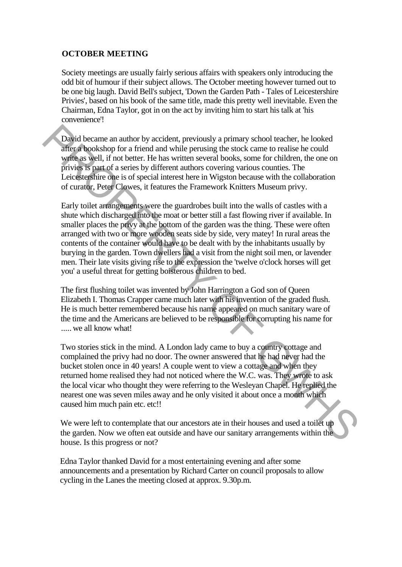# **OCTOBER MEETING**

Society meetings are usually fairly serious affairs with speakers only introducing the odd bit of humour if their subject allows. The October meeting however turned out to be one big laugh. David Bell's subject, 'Down the Garden Path - Tales of Leicestershire Privies', based on his book of the same title, made this pretty well inevitable. Even the Chairman, Edna Taylor, got in on the act by inviting him to start his talk at 'his convenience'!

David became an author by accident, previously a primary school teacher, he looked after a bookshop for a friend and while perusing the stock came to realise he could write as well, if not better. He has written several books, some for children, the one on privies is part of a series by different authors covering various counties. The Leicestershire one is of special interest here in Wigston because with the collaboration of curator, Peter Clowes, it features the Framework Knitters Museum privy.

Early toilet arrangements were the guardrobes built into the walls of castles with a shute which discharged into the moat or better still a fast flowing river if available. In smaller places the privy at the bottom of the garden was the thing. These were often arranged with two or more wooden seats side by side, very matey! In rural areas the contents of the container would have to be dealt with by the inhabitants usually by burying in the garden. Town dwellers had a visit from the night soil men, or lavender men. Their late visits giving rise to the expression the 'twelve o'clock horses will get you' a useful threat for getting boisterous children to bed. David became an author by accident, previously a primary school teacher, he looked<br>after a bookshop for a friend and white perusing the stock came to realise he could<br>wind as well. If not better. He has written several ho

The first flushing toilet was invented by John Harrington a God son of Queen Elizabeth I. Thomas Crapper came much later with his invention of the graded flush. He is much better remembered because his name appeared on much sanitary ware of the time and the Americans are believed to be responsible for corrupting his name for ..... we all know what!

Two stories stick in the mind. A London lady came to buy a country cottage and complained the privy had no door. The owner answered that he had never had the bucket stolen once in 40 years! A couple went to view a cottage and when they returned home realised they had not noticed where the W.C. was. They wrote to ask the local vicar who thought they were referring to the Wesleyan Chapel. He replied the nearest one was seven miles away and he only visited it about once a month which caused him much pain etc. etc!!

We were left to contemplate that our ancestors ate in their houses and used a toilet up the garden. Now we often eat outside and have our sanitary arrangements within the house. Is this progress or not?

Edna Taylor thanked David for a most entertaining evening and after some announcements and a presentation by Richard Carter on council proposals to allow cycling in the Lanes the meeting closed at approx. 9.30p.m.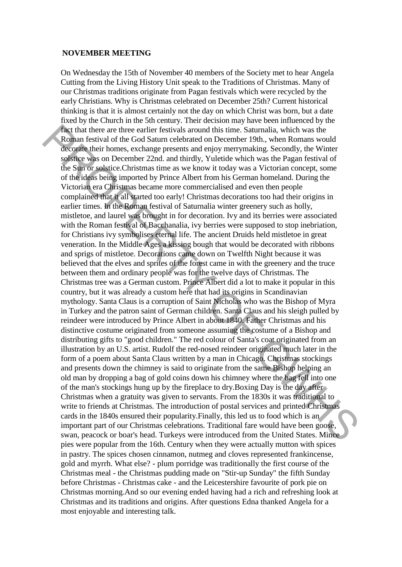### **NOVEMBER MEETING**

On Wednesday the 15th of November 40 members of the Society met to hear Angela Cutting from the Living History Unit speak to the Traditions of Christmas. Many of our Christmas traditions originate from Pagan festivals which were recycled by the early Christians. Why is Christmas celebrated on December 25th? Current historical thinking is that it is almost certainly not the day on which Christ was born, but a date fixed by the Church in the 5th century. Their decision may have been influenced by the fact that there are three earlier festivals around this time. Saturnalia, which was the Roman festival of the God Saturn celebrated on December 19th., when Romans would decorate their homes, exchange presents and enjoy merrymaking. Secondly, the Winter solstice was on December 22nd. and thirdly, Yuletide which was the Pagan festival of the Sun or solstice.Christmas time as we know it today was a Victorian concept, some of the ideas being imported by Prince Albert from his German homeland. During the Victorian era Christmas became more commercialised and even then people complained that it all started too early! Christmas decorations too had their origins in earlier times. In the Roman festival of Saturnalia winter greenery such as holly, mistletoe, and laurel was brought in for decoration. Ivy and its berries were associated with the Roman festival of Bacchanalia, ivy berries were supposed to stop inebriation, for Christians ivy symbolises eternal life. The ancient Druids held mistletoe in great veneration. In the Middle Ages a kissing bough that would be decorated with ribbons and sprigs of mistletoe. Decorations came down on Twelfth Night because it was believed that the elves and sprites of the forest came in with the greenery and the truce between them and ordinary people was for the twelve days of Christmas. The Christmas tree was a German custom. Prince Albert did a lot to make it popular in this country, but it was already a custom here that had its origins in Scandinavian mythology. Santa Claus is a corruption of Saint Nicholas who was the Bishop of Myra in Turkey and the patron saint of German children. Santa Claus and his sleigh pulled by reindeer were introduced by Prince Albert in about 1840. Father Christmas and his distinctive costume originated from someone assuming the costume of a Bishop and distributing gifts to "good children." The red colour of Santa's coat originated from an illustration by an U.S. artist. Rudolf the red-nosed reindeer originated much later in the form of a poem about Santa Claus written by a man in Chicago. Christmas stockings and presents down the chimney is said to originate from the same Bishop helping an old man by dropping a bag of gold coins down his chimney where the bag fell into one of the man's stockings hung up by the fireplace to dry.Boxing Day is the day after Christmas when a gratuity was given to servants. From the 1830s it was traditional to write to friends at Christmas. The introduction of postal services and printed Christmas cards in the 1840s ensured their popularity.Finally, this led us to food which is an important part of our Christmas celebrations. Traditional fare would have been goose, swan, peacock or boar's head. Turkeys were introduced from the United States. Mince pies were popular from the 16th. Century when they were actually mutton with spices in pastry. The spices chosen cinnamon, nutmeg and cloves represented frankincense, gold and myrrh. What else? - plum porridge was traditionally the first course of the Christmas meal - the Christmas pudding made on "Stir-up Sunday" the fifth Sunday before Christmas - Christmas cake - and the Leicestershire favourite of pork pie on Christmas morning.And so our evening ended having had a rich and refreshing look at Christmas and its traditions and origins. After questions Edna thanked Angela for a most enjoyable and interesting talk. Fact that there are three earlier festivals around this time. Sturmalia, which was the Rod Stature decreases are are reconnected to December 19th, when Poramas would decompted from Gol Stature electrons on controls the Sur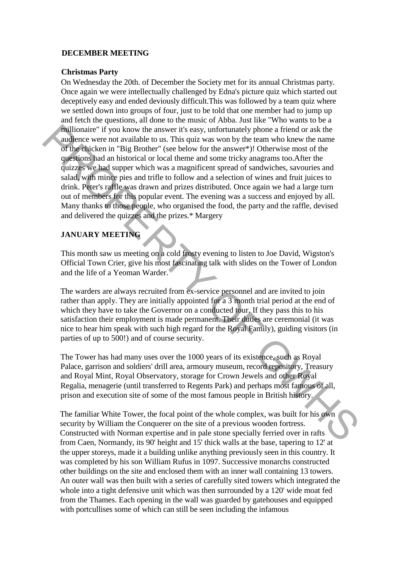## **DECEMBER MEETING**

### **Christmas Party**

On Wednesday the 20th. of December the Society met for its annual Christmas party. Once again we were intellectually challenged by Edna's picture quiz which started out deceptively easy and ended deviously difficult.This was followed by a team quiz where we settled down into groups of four, just to be told that one member had to jump up and fetch the questions, all done to the music of Abba. Just like "Who wants to be a millionaire" if you know the answer it's easy, unfortunately phone a friend or ask the audience were not available to us. This quiz was won by the team who knew the name of the chicken in "Big Brother" (see below for the answer\*)! Otherwise most of the questions had an historical or local theme and some tricky anagrams too.After the quizzes we had supper which was a magnificent spread of sandwiches, savouries and salad, with mince pies and trifle to follow and a selection of wines and fruit juices to drink. Peter's raffle was drawn and prizes distributed. Once again we had a large turn out of members for this popular event. The evening was a success and enjoyed by all. Many thanks to those people, who organised the food, the party and the raffle, devised and delivered the quizzes and the prizes.\* Margery **Millionare** " if you know the answer it's easy, unfortunately thone a friend or ask the<br>
andlence were not available to us. This quiz was won by the team who knew the name<br>
of the duicken in "Big Brother" (see below for

## **JANUARY MEETING**

This month saw us meeting on a cold frosty evening to listen to Joe David, Wigston's Official Town Crier, give his most fascinating talk with slides on the Tower of London and the life of a Yeoman Warder.

The warders are always recruited from ex-service personnel and are invited to join rather than apply. They are initially appointed for a 3 month trial period at the end of which they have to take the Governor on a conducted tour. If they pass this to his satisfaction their employment is made permanent. Their duties are ceremonial (it was nice to hear him speak with such high regard for the Royal Family), guiding visitors (in parties of up to 500!) and of course security.

The Tower has had many uses over the 1000 years of its existence, such as Royal Palace, garrison and soldiers' drill area, armoury museum, record repository, Treasury and Royal Mint, Royal Observatory, storage for Crown Jewels and other Royal Regalia, menagerie (until transferred to Regents Park) and perhaps most famous of all, prison and execution site of some of the most famous people in British history.

The familiar White Tower, the focal point of the whole complex, was built for his own security by William the Conquerer on the site of a previous wooden fortress. Constructed with Norman expertise and in pale stone specially ferried over in rafts from Caen, Normandy, its 90' height and 15' thick walls at the base, tapering to 12' at the upper storeys, made it a building unlike anything previously seen in this country. It was completed by his son William Rufus in 1097. Successive monarchs constructed other buildings on the site and enclosed them with an inner wall containing 13 towers. An outer wall was then built with a series of carefully sited towers which integrated the whole into a tight defensive unit which was then surrounded by a 120' wide moat fed from the Thames. Each opening in the wall was guarded by gatehouses and equipped with portcullises some of which can still be seen including the infamous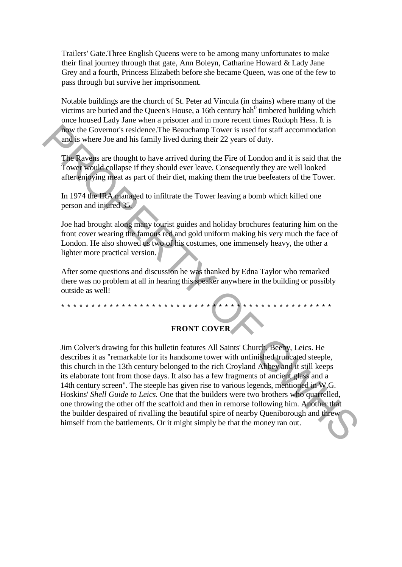Trailers' Gate.Three English Queens were to be among many unfortunates to make their final journey through that gate, Ann Boleyn, Catharine Howard & Lady Jane Grey and a fourth, Princess Elizabeth before she became Queen, was one of the few to pass through but survive her imprisonment.

Notable buildings are the church of St. Peter ad Vincula (in chains) where many of the victims are buried and the Queen's House, a 16th century hah $<sup>0</sup>$  timbered building which</sup> once housed Lady Jane when a prisoner and in more recent times Rudoph Hess. It is now the Governor's residence.The Beauchamp Tower is used for staff accommodation and is where Joe and his family lived during their 22 years of duty.

The Ravens are thought to have arrived during the Fire of London and it is said that the Tower would collapse if they should ever leave. Consequently they are well looked after enjoying meat as part of their diet, making them the true beefeaters of the Tower.

In 1974 the IRA managed to infiltrate the Tower leaving a bomb which killed one person and injured 35.

Joe had brought along many tourist guides and holiday brochures featuring him on the front cover wearing the famous red and gold uniform making his very much the face of London. He also showed us two of his costumes, one immensely heavy, the other a lighter more practical version.

After some questions and discussion he was thanked by Edna Taylor who remarked there was no problem at all in hearing this speaker anywhere in the building or possibly outside as well!

\*\*\*\*\*\*\*\*\*\*\*\*\*\*\*\*\*\*\*\*\*\*\*\*\*\*\*\*\*\*\*\*\*\*\*\*\*\*\*\*\*\*\*\*\*

# **FRONT COVER**

Jim Colver's drawing for this bulletin features All Saints' Church, Beeby, Leics. He describes it as "remarkable for its handsome tower with unfinished truncated steeple, this church in the 13th century belonged to the rich Croyland Abbey and it still keeps its elaborate font from those days. It also has a few fragments of ancient glass and a 14th century screen". The steeple has given rise to various legends, mentioned in W.G. Hoskins' *Shell Guide to Leics.* One that the builders were two brothers who quarrelled, one throwing the other off the scaffold and then in remorse following him. Another that the builder despaired of rivalling the beautiful spire of nearby Queniborough and threw himself from the battlements. Or it might simply be that the money ran out. The Western Covernor's residence. The Beauchamp Tower is used for staff accommodation<br>
and is where Joe and his family lived during their 22 years of duty.<br>
The knower would collapse if to have arrived during the Fire of L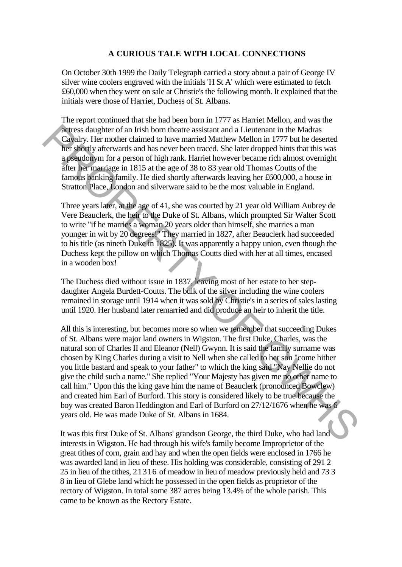# **A CURIOUS TALE WITH LOCAL CONNECTIONS**

On October 30th 1999 the Daily Telegraph carried a story about a pair of George IV silver wine coolers engraved with the initials 'H St A' which were estimated to fetch £60,000 when they went on sale at Christie's the following month. It explained that the initials were those of Harriet, Duchess of St. Albans.

The report continued that she had been born in 1777 as Harriet Mellon, and was the actress daughter of an Irish born theatre assistant and a Lieutenant in the Madras Cavalry. Her mother claimed to have married Matthew Mellon in 1777 but he deserted her shortly afterwards and has never been traced. She later dropped hints that this was a pseudonym for a person of high rank. Harriet however became rich almost overnight after her marriage in 1815 at the age of 38 to 83 year old Thomas Coutts of the famous banking family. He died shortly afterwards leaving her £600,000, a house in Stratton Place, London and silverware said to be the most valuable in England.

Three years later, at the age of 41, she was courted by 21 year old William Aubrey de Vere Beauclerk, the heir to the Duke of St. Albans, which prompted Sir Walter Scott to write "if he marries a woman 20 years older than himself, she marries a man younger in wit by 20 degrees!" They married in 1827, after Beauclerk had succeeded to his title (as nineth Duke in 1825). It was apparently a happy union, even though the Duchess kept the pillow on which Thomas Coutts died with her at all times, encased in a wooden box!

The Duchess died without issue in 1837, leaving most of her estate to her stepdaughter Angela Burdett-Coutts. The bulk of the silver including the wine coolers remained in storage until 1914 when it was sold by Christie's in a series of sales lasting until 1920. Her husband later remarried and did produce an heir to inherit the title.

All this is interesting, but becomes more so when we remember that succeeding Dukes of St. Albans were major land owners in Wigston. The first Duke, Charles, was the natural son of Charles II and Eleanor (Nell) Gwynn. It is said the family surname was chosen by King Charles during a visit to Nell when she called to her son "come hither you little bastard and speak to your father" to which the king said "Nay Nellie do not give the child such a name." She replied "Your Majesty has given me no other name to call him." Upon this the king gave him the name of Beauclerk (pronounced Bowclew) and created him Earl of Burford. This story is considered likely to be true because the boy was created Baron Heddington and Earl of Burford on 27/12/1676 when he was 6 years old. He was made Duke of St. Albans in 1684. Steres danglee of an Irish born theate assistant and a Lieutenant in the Madras Caughty. Her molecular channel to have married Matthew Mellon in 1777 but he described bet shortly afterwords and has never been traced. She

It was this first Duke of St. Albans' grandson George, the third Duke, who had land interests in Wigston. He had through his wife's family become Improprietor of the great tithes of corn, grain and hay and when the open fields were enclosed in 1766 he was awarded land in lieu of these. His holding was considerable, consisting of 291 2 25 in lieu of the tithes, 21316 of meadow in lieu of meadow previously held and 73 3 8 in lieu of Glebe land which he possessed in the open fields as proprietor of the rectory of Wigston. In total some 387 acres being 13.4% of the whole parish. This came to be known as the Rectory Estate.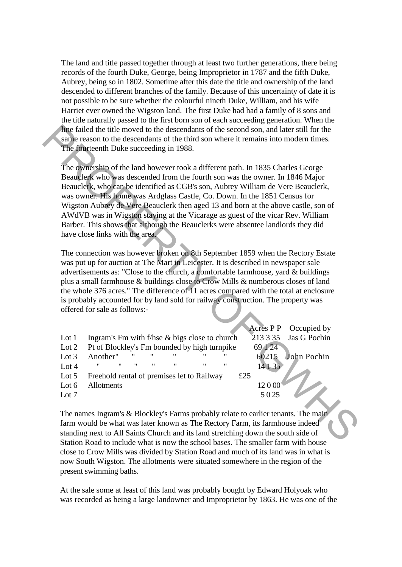The land and title passed together through at least two further generations, there being records of the fourth Duke, George, being Improprietor in 1787 and the fifth Duke, Aubrey, being so in 1802. Sometime after this date the title and ownership of the land descended to different branches of the family. Because of this uncertainty of date it is not possible to be sure whether the colourful nineth Duke, William, and his wife Harriet ever owned the Wigston land. The first Duke had had a family of 8 sons and the title naturally passed to the first born son of each succeeding generation. When the line failed the title moved to the descendants of the second son, and later still for the same reason to the descendants of the third son where it remains into modern times. The fourteenth Duke succeeding in 1988.

|                    | line failed the title moved to the descendants of the second son, and later still for the<br>same reason to the descendants of the third son where it remains into modern times.                                                                                                                                                                                                                                                                                                                                                                                                                                                 |                   |              |
|--------------------|----------------------------------------------------------------------------------------------------------------------------------------------------------------------------------------------------------------------------------------------------------------------------------------------------------------------------------------------------------------------------------------------------------------------------------------------------------------------------------------------------------------------------------------------------------------------------------------------------------------------------------|-------------------|--------------|
|                    | The fourteenth Duke succeeding in 1988.                                                                                                                                                                                                                                                                                                                                                                                                                                                                                                                                                                                          |                   |              |
|                    | The ownership of the land however took a different path. In 1835 Charles George<br>Beauclerk who was descended from the fourth son was the owner. In 1846 Major<br>Beauclerk, who can be identified as CGB's son, Aubrey William de Vere Beauclerk,<br>was owner. His home was Ardglass Castle, Co. Down. In the 1851 Census for<br>Wigston Aubrey de Vere Beauclerk then aged 13 and born at the above castle, son of<br>AWdVB was in Wigston staying at the Vicarage as guest of the vicar Rev. William<br>Barber. This shows that although the Beauclerks were absentee landlords they did<br>have close links with the area. |                   |              |
|                    | The connection was however broken on 8th September 1859 when the Rectory Estate                                                                                                                                                                                                                                                                                                                                                                                                                                                                                                                                                  |                   |              |
|                    | was put up for auction at The Mart in Leicester. It is described in newspaper sale                                                                                                                                                                                                                                                                                                                                                                                                                                                                                                                                               |                   |              |
|                    | advertisements as: "Close to the church, a comfortable farmhouse, yard & buildings                                                                                                                                                                                                                                                                                                                                                                                                                                                                                                                                               |                   |              |
|                    |                                                                                                                                                                                                                                                                                                                                                                                                                                                                                                                                                                                                                                  |                   |              |
|                    | plus a small farmhouse & buildings close to Crow Mills & numberous closes of land                                                                                                                                                                                                                                                                                                                                                                                                                                                                                                                                                |                   |              |
|                    | the whole 376 acres." The difference of $\overline{11}$ acres compared with the total at enclosure                                                                                                                                                                                                                                                                                                                                                                                                                                                                                                                               |                   |              |
|                    | is probably accounted for by land sold for railway construction. The property was                                                                                                                                                                                                                                                                                                                                                                                                                                                                                                                                                |                   |              |
|                    | offered for sale as follows:-                                                                                                                                                                                                                                                                                                                                                                                                                                                                                                                                                                                                    |                   |              |
|                    |                                                                                                                                                                                                                                                                                                                                                                                                                                                                                                                                                                                                                                  |                   |              |
|                    |                                                                                                                                                                                                                                                                                                                                                                                                                                                                                                                                                                                                                                  | Acres P P         | Occupied by  |
| Lot $1$<br>Lot $2$ | Ingram's Fm with f/hse & bigs close to church                                                                                                                                                                                                                                                                                                                                                                                                                                                                                                                                                                                    | 213 3 35<br>69124 | Jas G Pochin |
| Lot $3$            | Pt of Blockley's Fm bounded by high turnpike<br>Another"                                                                                                                                                                                                                                                                                                                                                                                                                                                                                                                                                                         | 60215             | John Pochin  |
| Lot $4$            |                                                                                                                                                                                                                                                                                                                                                                                                                                                                                                                                                                                                                                  | 14 1 35           |              |
| Lot $5$            | Freehold rental of premises let to Railway                                                                                                                                                                                                                                                                                                                                                                                                                                                                                                                                                                                       | £25               |              |
| Lot $6$            | Allotments                                                                                                                                                                                                                                                                                                                                                                                                                                                                                                                                                                                                                       | 12000             |              |

The names Ingram's & Blockley's Farms probably relate to earlier tenants. The main farm would be what was later known as The Rectory Farm, its farmhouse indeed standing next to All Saints Church and its land stretching down the south side of Station Road to include what is now the school bases. The smaller farm with house close to Crow Mills was divided by Station Road and much of its land was in what is now South Wigston. The allotments were situated somewhere in the region of the present swimming baths.

At the sale some at least of this land was probably bought by Edward Holyoak who was recorded as being a large landowner and Improprietor by 1863. He was one of the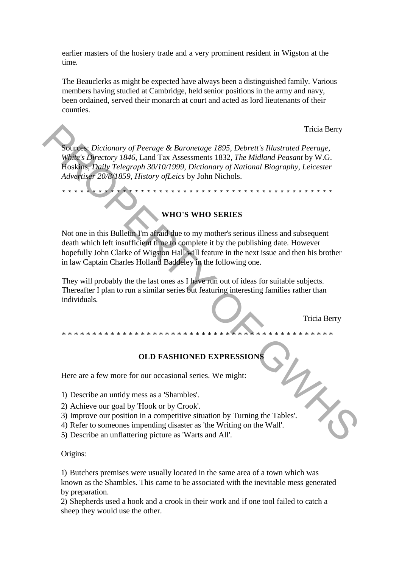earlier masters of the hosiery trade and a very prominent resident in Wigston at the time.

The Beauclerks as might be expected have always been a distinguished family. Various members having studied at Cambridge, held senior positions in the army and navy, been ordained, served their monarch at court and acted as lord lieutenants of their counties.

Tricia Berry

Sources: *Dictionary of Peerage & Baronetage 1895, Debrett's Illustrated Peerage, White's Directory 1846,* Land Tax Assessments 1832, *The Midland Peasant* by W.G. Hoskins, *Daily Telegraph 30/10/1999, Dictionary of National Biography, Leicester Advertiser 20/8/1859, History ofLeics* by John Nichols.

\*\*\*\*\*\*\*\*\*\*\*\*\*\*\*\*\*\*\*\*\*\*\*\*\*\*\*\*\*\*\*\*\*\*\*\*\*\*\*\*\*\*\*\*\*

**WHO'S WHO SERIES**

Not one in this Bulletin I'm afraid due to my mother's serious illness and subsequent death which left insufficient time to complete it by the publishing date. However hopefully John Clarke of Wigston Hall will feature in the next issue and then his brother in law Captain Charles Holland Baddeley in the following one. Tricia Berry<br>
Sources: Dictionary of Peerage & Baronetage 1895, Debrett's Illustrated Peerage.<br>
With Colpectary 1846, Land Tax Assessments 1832, The Midland Peacant<br>
Adventuse 20/8/1859, History of Leics by John Nichols.<br>

They will probably the the last ones as I have run out of ideas for suitable subjects. Thereafter I plan to run a similar series but featuring interesting families rather than individuals.

Tricia Berry

## **OLD FASHIONED EXPRESSIONS**

\*\*\*\*\*\*\*\*\*\*\*\*\*\*\*\*\*\*\*\*\*\*\*\*\*\*\*\*\*\*\*\*\*\*\*\*\*\*\*\*\*\*\*\*\*

Here are a few more for our occasional series. We might:

1) Describe an untidy mess as a 'Shambles'.

- 2) Achieve our goal by 'Hook or by Crook'.
- 3) Improve our position in a competitive situation by Turning the Tables'.
- 4) Refer to someones impending disaster as 'the Writing on the Wall'.

5) Describe an unflattering picture as 'Warts and All'.

### Origins:

1) Butchers premises were usually located in the same area of a town which was known as the Shambles. This came to be associated with the inevitable mess generated by preparation.

2) Shepherds used a hook and a crook in their work and if one tool failed to catch a sheep they would use the other.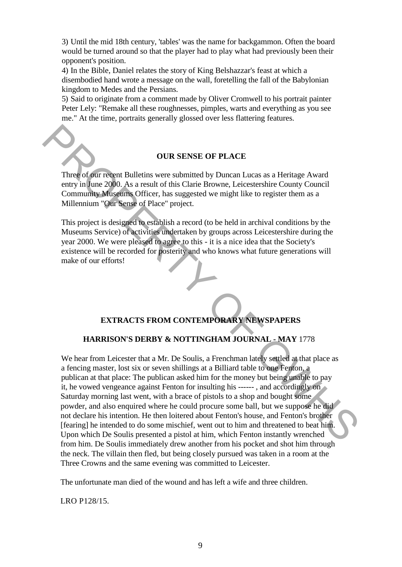3) Until the mid 18th century, 'tables' was the name for backgammon. Often the board would be turned around so that the player had to play what had previously been their opponent's position.

4) In the Bible, Daniel relates the story of King Belshazzar's feast at which a disembodied hand wrote a message on the wall, foretelling the fall of the Babylonian kingdom to Medes and the Persians.

5) Said to originate from a comment made by Oliver Cromwell to his portrait painter Peter Lely: "Remake all these roughnesses, pimples, warts and everything as you see me." At the time, portraits generally glossed over less flattering features.

## **OUR SENSE OF PLACE**

Three of our recent Bulletins were submitted by Duncan Lucas as a Heritage Award entry in June 2000. As a result of this Clarie Browne, Leicestershire County Council Community Museums Officer, has suggested we might like to register them as a Millennium "Our Sense of Place" project.

This project is designed to establish a record (to be held in archival conditions by the Museums Service) of activities undertaken by groups across Leicestershire during the year 2000. We were pleased to agree to this - it is a nice idea that the Society's existence will be recorded for posterity and who knows what future generations will make of our efforts!

# **EXTRACTS FROM CONTEMPORARY NEWSPAPERS**

## **HARRISON'S DERBY & NOTTINGHAM JOURNAL - MAY** 1778

We hear from Leicester that a Mr. De Soulis, a Frenchman lately settled at that place as a fencing master, lost six or seven shillings at a Billiard table to one Fenton, a publican at that place: The publican asked him for the money but being unable to pay it, he vowed vengeance against Fenton for insulting his ------ , and accordingly on Saturday morning last went, with a brace of pistols to a shop and bought some powder, and also enquired where he could procure some ball, but we suppose he did not declare his intention. He then loitered about Fenton's house, and Fenton's brother [fearing] he intended to do some mischief, went out to him and threatened to beat him. Upon which De Soulis presented a pistol at him, which Fenton instantly wrenched from him. De Soulis immediately drew another from his pocket and shot him through the neck. The villain then fled, but being closely pursued was taken in a room at the Three Crowns and the same evening was committed to Leicester. **EXECUTE:**<br> **EXECUTE:**<br> **EXECUTE:**<br> **EXECUTE:**<br> **EXECUTE:**<br> **EXECUTE:**<br> **EXECUTE:**<br> **EXECUTE:**<br> **EXECUTE:**<br> **EXECUTE:**<br> **EXECUTE:**<br> **EXECUTE:**<br> **EXECUTE:**<br> **EXECUTE:**<br> **EXECUTE:**<br> **EXECUTE:**<br> **EXECUTE:**<br> **EXECUTE:**<br> **EXECU** 

The unfortunate man died of the wound and has left a wife and three children.

LRO P128/15.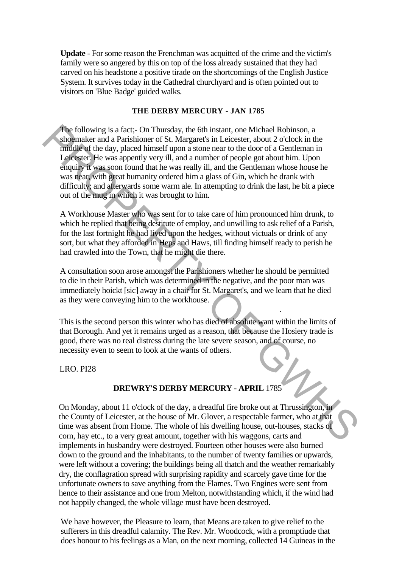**Update** - For some reason the Frenchman was acquitted of the crime and the victim's family were so angered by this on top of the loss already sustained that they had carved on his headstone a positive tirade on the shortcomings of the English Justice System. It survives today in the Cathedral churchyard and is often pointed out to visitors on 'Blue Badge' guided walks.

## **THE DERBY MERCURY - JAN 1785**

The following is a fact;- On Thursday, the 6th instant, one Michael Robinson, a shoemaker and a Parishioner of St. Margaret's in Leicester, about 2 o'clock in the middle of the day, placed himself upon a stone near to the door of a Gentleman in Leicester. He was appently very ill, and a number of people got about him. Upon enquiry it was soon found that he was really ill, and the Gentleman whose house he was near, with great humanity ordered him a glass of Gin, which he drank with difficulty; and afterwards some warm ale. In attempting to drink the last, he bit a piece out of the mug in which it was brought to him. The following is a fract; On Thursday, the 6th instant, one Michal Robinson, a<br>
shognaker and a Parishioner of St. Margaret's in Leicester, about 2 o'clock in the<br>
muddle of the day, placed himself upon a stome near to the

A Workhouse Master who was sent for to take care of him pronounced him drunk, to which he replied that being destitute of employ, and unwilling to ask relief of a Parish, for the last fortnight he had lived upon the hedges, without victuals or drink of any sort, but what they afforded in Heps and Haws, till finding himself ready to perish he had crawled into the Town, that he might die there.

A consultation soon arose amongst the Parishioners whether he should be permitted to die in their Parish, which was determined in the negative, and the poor man was immediately hoickt [sic] away in a chair for St. Margaret's, and we learn that he died as they were conveying him to the workhouse.

This is the second person this winter who has died of absolute want within the limits of that Borough. And yet it remains urged as a reason, that because the Hosiery trade is good, there was no real distress during the late severe season, and of course, no necessity even to seem to look at the wants of others.

.

LRO. PI28

# **DREWRY'S DERBY MERCURY - APRIL** 1785

On Monday, about 11 o'clock of the day, a dreadful fire broke out at Thrussington, in the County of Leicester, at the house of Mr. Glover, a respectable farmer, who at that time was absent from Home. The whole of his dwelling house, out-houses, stacks of corn, hay etc., to a very great amount, together with his waggons, carts and implements in husbandry were destroyed. Fourteen other houses were also burned down to the ground and the inhabitants, to the number of twenty families or upwards, were left without a covering; the buildings being all thatch and the weather remarkably dry, the conflagration spread with surprising rapidity and scarcely gave time for the unfortunate owners to save anything from the Flames. Two Engines were sent from hence to their assistance and one from Melton, notwithstanding which, if the wind had not happily changed, the whole village must have been destroyed.

We have however, the Pleasure to learn, that Means are taken to give relief to the sufferers in this dreadful calamity. The Rev. Mr. Woodcock, with a promptiude that does honour to his feelings as a Man, on the next morning, collected 14 Guineas in the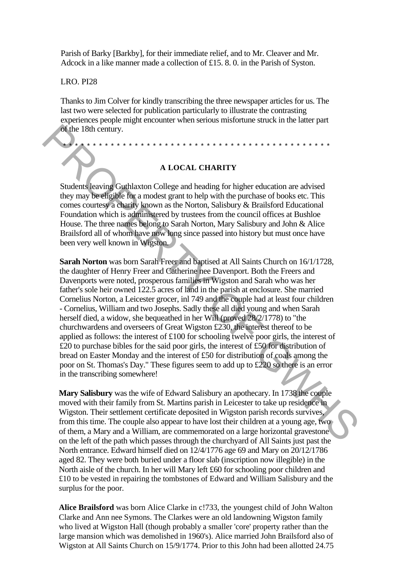Parish of Barky [Barkby], for their immediate relief, and to Mr. Cleaver and Mr. Adcock in a like manner made a collection of £15. 8. 0. in the Parish of Syston.

### LRO. PI28

Thanks to Jim Colver for kindly transcribing the three newspaper articles for us. The last two were selected for publication particularly to illustrate the contrasting experiences people might encounter when serious misfortune struck in the latter part of the 18th century.

\*\*\*\*\*\*\*\*\*\*\*\*\*\*\*\*\*\*\*\*\*\*\*\*\*\*\*\*\*\*\*\*\*\*\*\*\*\*\*\*\*\*\*\*\*

## **A LOCAL CHARITY**

Students leaving Guthlaxton College and heading for higher education are advised they may be eligible for a modest grant to help with the purchase of books etc. This comes courtesy a charity known as the Norton, Salisbury & Brailsford Educational Foundation which is administered by trustees from the council offices at Bushloe House. The three names belong to Sarah Norton, Mary Salisbury and John & Alice Brailsford all of whom have now long since passed into history but must once have been very well known in Wigston.

**Sarah Norton** was born Sarah Freer and baptised at All Saints Church on 16/1/1728, the daughter of Henry Freer and Catherine nee Davenport. Both the Freers and Davenports were noted, prosperous families in Wigston and Sarah who was her father's sole heir owned 122.5 acres of land in the parish at enclosure. She married Cornelius Norton, a Leicester grocer, inl 749 and the couple had at least four children - Cornelius, William and two Josephs. Sadly these all died young and when Sarah herself died, a widow, she bequeathed in her Will (proved 28/2/1778) to "the churchwardens and overseers of Great Wigston £230, the interest thereof to be applied as follows: the interest of £100 for schooling twelve poor girls, the interest of £20 to purchase bibles for the said poor girls, the interest of £50 for distribution of bread on Easter Monday and the interest of £50 for distribution of coals among the poor on St. Thomas's Day." These figures seem to add up to £220 so there is an error in the transcribing somewhere! **Example 2011**<br> **Example 20 A LOCAL CHARITY**<br> **Example 20 A LOCAL CHARITY**<br> **Example 30 Example 30 Comparison College and heading for higher education are advised<br>
they may be effigible for a modest grant both with** 

**Mary Salisbury** was the wife of Edward Salisbury an apothecary. In 1738 the couple moved with their family from St. Martins parish in Leicester to take up residence in Wigston. Their settlement certificate deposited in Wigston parish records survives, from this time. The couple also appear to have lost their children at a young age, two of them, a Mary and a William, are commemorated on a large horizontal gravestone on the left of the path which passes through the churchyard of All Saints just past the North entrance. Edward himself died on 12/4/1776 age 69 and Mary on 20/12/1786 aged 82. They were both buried under a floor slab (inscription now illegible) in the North aisle of the church. In her will Mary left £60 for schooling poor children and £10 to be vested in repairing the tombstones of Edward and William Salisbury and the surplus for the poor.

**Alice Brailsford** was born Alice Clarke in c!733, the youngest child of John Walton Clarke and Ann nee Symons. The Clarkes were an old landowning Wigston family who lived at Wigston Hall (though probably a smaller 'core' property rather than the large mansion which was demolished in 1960's). Alice married John Brailsford also of Wigston at All Saints Church on 15/9/1774. Prior to this John had been allotted 24.75